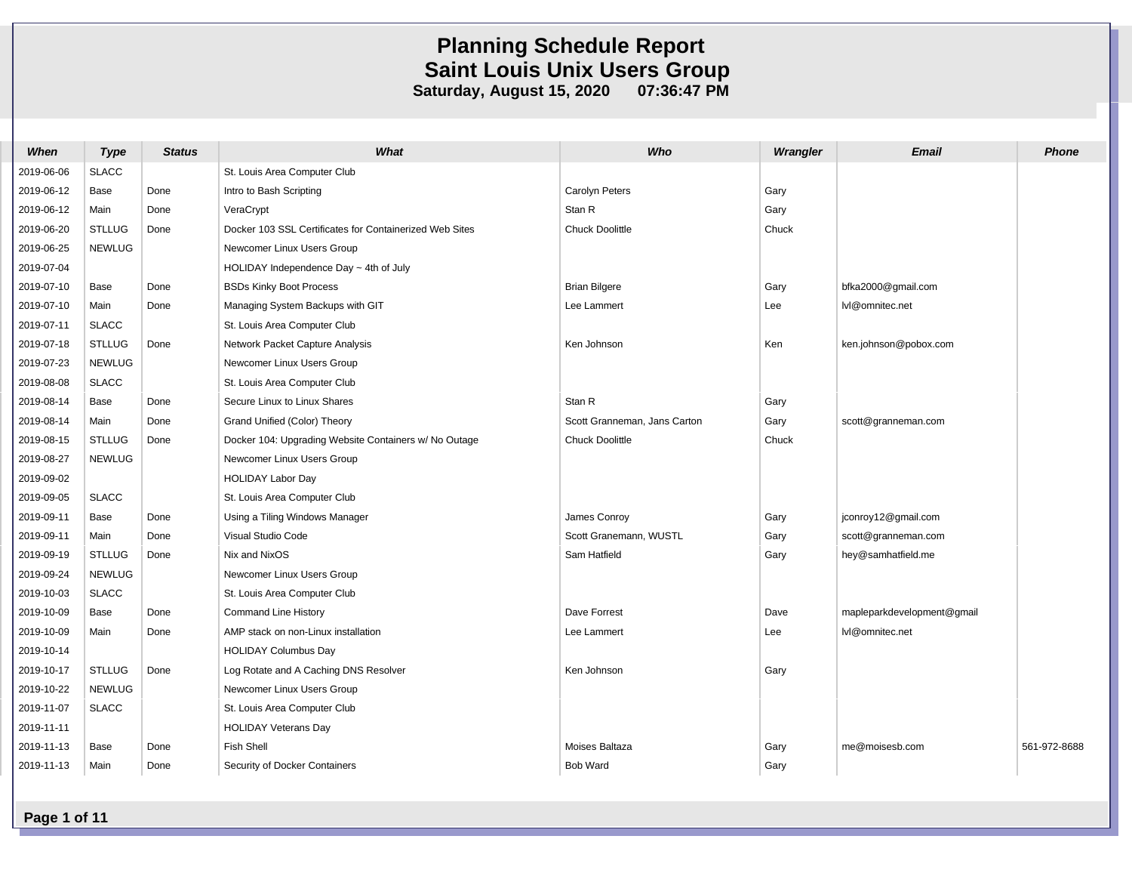| When       | <b>Type</b>   | <b>Status</b> | What                                                    | Who                          | Wrangler | <b>Email</b>               | <b>Phone</b> |
|------------|---------------|---------------|---------------------------------------------------------|------------------------------|----------|----------------------------|--------------|
| 2019-06-06 | <b>SLACC</b>  |               | St. Louis Area Computer Club                            |                              |          |                            |              |
| 2019-06-12 | Base          | Done          | Intro to Bash Scripting                                 | Carolyn Peters               | Gary     |                            |              |
| 2019-06-12 | Main          | Done          | VeraCrypt                                               | Stan R                       | Gary     |                            |              |
| 2019-06-20 | <b>STLLUG</b> | Done          | Docker 103 SSL Certificates for Containerized Web Sites | Chuck Doolittle              | Chuck    |                            |              |
| 2019-06-25 | <b>NEWLUG</b> |               | Newcomer Linux Users Group                              |                              |          |                            |              |
| 2019-07-04 |               |               | HOLIDAY Independence Day $\sim$ 4th of July             |                              |          |                            |              |
| 2019-07-10 | Base          | Done          | <b>BSDs Kinky Boot Process</b>                          | <b>Brian Bilgere</b>         | Gary     | bfka2000@gmail.com         |              |
| 2019-07-10 | Main          | Done          | Managing System Backups with GIT                        | Lee Lammert                  | Lee      | lvl@omnitec.net            |              |
| 2019-07-11 | <b>SLACC</b>  |               | St. Louis Area Computer Club                            |                              |          |                            |              |
| 2019-07-18 | <b>STLLUG</b> | Done          | Network Packet Capture Analysis                         | Ken Johnson                  | Ken      | ken.johnson@pobox.com      |              |
| 2019-07-23 | <b>NEWLUG</b> |               | Newcomer Linux Users Group                              |                              |          |                            |              |
| 2019-08-08 | <b>SLACC</b>  |               | St. Louis Area Computer Club                            |                              |          |                            |              |
| 2019-08-14 | Base          | Done          | Secure Linux to Linux Shares                            | Stan R                       | Gary     |                            |              |
| 2019-08-14 | Main          | Done          | Grand Unified (Color) Theory                            | Scott Granneman, Jans Carton | Gary     | scott@granneman.com        |              |
| 2019-08-15 | <b>STLLUG</b> | Done          | Docker 104: Upgrading Website Containers w/ No Outage   | Chuck Doolittle              | Chuck    |                            |              |
| 2019-08-27 | <b>NEWLUG</b> |               | Newcomer Linux Users Group                              |                              |          |                            |              |
| 2019-09-02 |               |               | <b>HOLIDAY Labor Day</b>                                |                              |          |                            |              |
| 2019-09-05 | <b>SLACC</b>  |               | St. Louis Area Computer Club                            |                              |          |                            |              |
| 2019-09-11 | Base          | Done          | Using a Tiling Windows Manager                          | James Conroy                 | Gary     | jconroy12@gmail.com        |              |
| 2019-09-11 | Main          | Done          | Visual Studio Code                                      | Scott Granemann, WUSTL       | Gary     | scott@granneman.com        |              |
| 2019-09-19 | <b>STLLUG</b> | Done          | Nix and NixOS                                           | Sam Hatfield                 | Gary     | hey@samhatfield.me         |              |
| 2019-09-24 | <b>NEWLUG</b> |               | Newcomer Linux Users Group                              |                              |          |                            |              |
| 2019-10-03 | <b>SLACC</b>  |               | St. Louis Area Computer Club                            |                              |          |                            |              |
| 2019-10-09 | Base          | Done          | <b>Command Line History</b>                             | Dave Forrest                 | Dave     | mapleparkdevelopment@gmail |              |
| 2019-10-09 | Main          | Done          | AMP stack on non-Linux installation                     | Lee Lammert                  | Lee      | lvl@omnitec.net            |              |
| 2019-10-14 |               |               | <b>HOLIDAY Columbus Day</b>                             |                              |          |                            |              |
| 2019-10-17 | <b>STLLUG</b> | Done          | Log Rotate and A Caching DNS Resolver                   | Ken Johnson                  | Gary     |                            |              |
| 2019-10-22 | <b>NEWLUG</b> |               | Newcomer Linux Users Group                              |                              |          |                            |              |
| 2019-11-07 | <b>SLACC</b>  |               | St. Louis Area Computer Club                            |                              |          |                            |              |
| 2019-11-11 |               |               | <b>HOLIDAY Veterans Day</b>                             |                              |          |                            |              |
| 2019-11-13 | Base          | Done          | <b>Fish Shell</b>                                       | Moises Baltaza               | Gary     | me@moisesb.com             | 561-972-8688 |
| 2019-11-13 | Main          | Done          | Security of Docker Containers                           | <b>Bob Ward</b>              | Gary     |                            |              |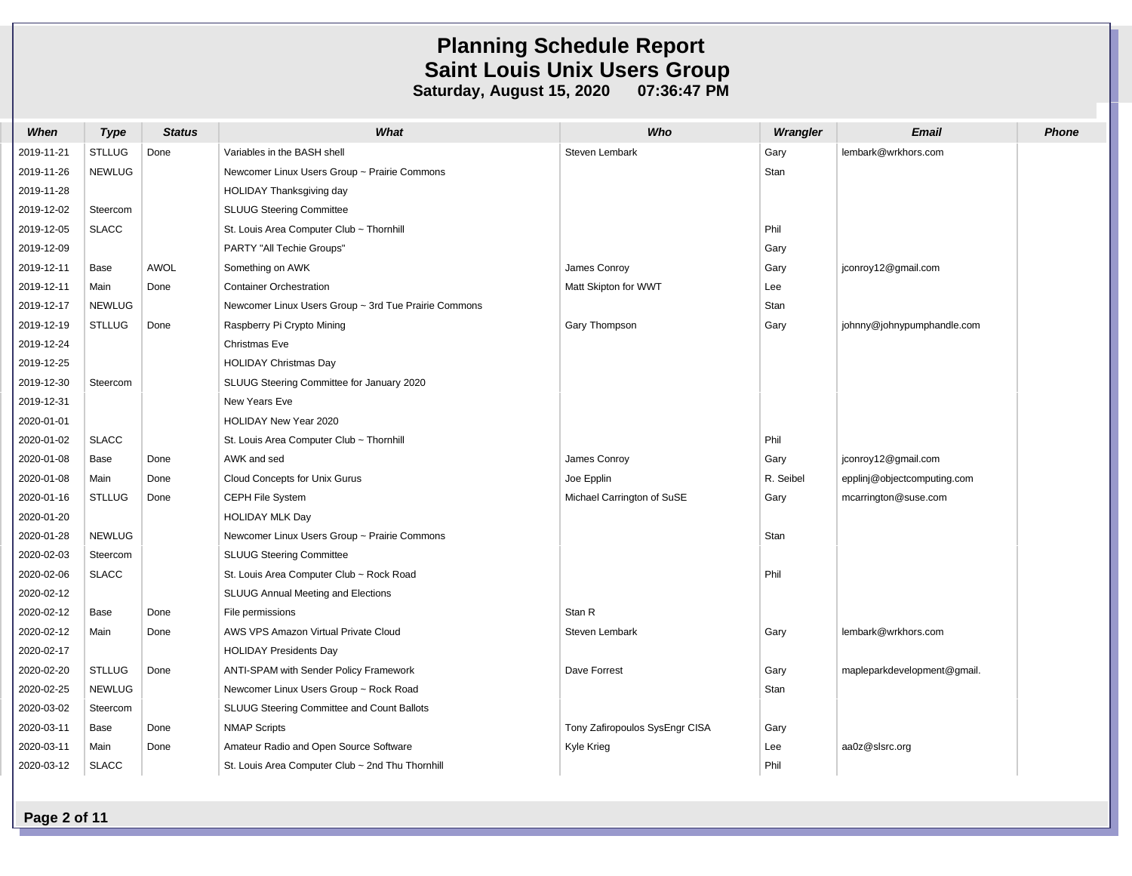| When       | <b>Type</b>   | <b>Status</b> | What                                                 | Who                            | Wrangler  | Email                       | <b>Phone</b> |
|------------|---------------|---------------|------------------------------------------------------|--------------------------------|-----------|-----------------------------|--------------|
| 2019-11-21 | <b>STLLUG</b> | Done          | Variables in the BASH shell                          | Steven Lembark                 | Gary      | lembark@wrkhors.com         |              |
| 2019-11-26 | <b>NEWLUG</b> |               | Newcomer Linux Users Group ~ Prairie Commons         |                                | Stan      |                             |              |
| 2019-11-28 |               |               | HOLIDAY Thanksgiving day                             |                                |           |                             |              |
| 2019-12-02 | Steercom      |               | <b>SLUUG Steering Committee</b>                      |                                |           |                             |              |
| 2019-12-05 | <b>SLACC</b>  |               | St. Louis Area Computer Club ~ Thornhill             |                                | Phil      |                             |              |
| 2019-12-09 |               |               | PARTY "All Techie Groups"                            |                                | Gary      |                             |              |
| 2019-12-11 | Base          | <b>AWOL</b>   | Something on AWK                                     | James Conroy                   | Gary      | jconroy12@gmail.com         |              |
| 2019-12-11 | Main          | Done          | <b>Container Orchestration</b>                       | Matt Skipton for WWT           | Lee       |                             |              |
| 2019-12-17 | <b>NEWLUG</b> |               | Newcomer Linux Users Group ~ 3rd Tue Prairie Commons |                                | Stan      |                             |              |
| 2019-12-19 | <b>STLLUG</b> | Done          | Raspberry Pi Crypto Mining                           | Gary Thompson                  | Gary      | johnny@johnypumphandle.com  |              |
| 2019-12-24 |               |               | Christmas Eve                                        |                                |           |                             |              |
| 2019-12-25 |               |               | <b>HOLIDAY Christmas Day</b>                         |                                |           |                             |              |
| 2019-12-30 | Steercom      |               | SLUUG Steering Committee for January 2020            |                                |           |                             |              |
| 2019-12-31 |               |               | New Years Eve                                        |                                |           |                             |              |
| 2020-01-01 |               |               | HOLIDAY New Year 2020                                |                                |           |                             |              |
| 2020-01-02 | <b>SLACC</b>  |               | St. Louis Area Computer Club ~ Thornhill             |                                | Phil      |                             |              |
| 2020-01-08 | Base          | Done          | AWK and sed                                          | James Conroy                   | Gary      | jconroy12@gmail.com         |              |
| 2020-01-08 | Main          | Done          | Cloud Concepts for Unix Gurus                        | Joe Epplin                     | R. Seibel | epplinj@objectcomputing.com |              |
| 2020-01-16 | <b>STLLUG</b> | Done          | CEPH File System                                     | Michael Carrington of SuSE     | Gary      | mcarrington@suse.com        |              |
| 2020-01-20 |               |               | <b>HOLIDAY MLK Day</b>                               |                                |           |                             |              |
| 2020-01-28 | <b>NEWLUG</b> |               | Newcomer Linux Users Group ~ Prairie Commons         |                                | Stan      |                             |              |
| 2020-02-03 | Steercom      |               | SLUUG Steering Committee                             |                                |           |                             |              |
| 2020-02-06 | <b>SLACC</b>  |               | St. Louis Area Computer Club ~ Rock Road             |                                | Phil      |                             |              |
| 2020-02-12 |               |               | SLUUG Annual Meeting and Elections                   |                                |           |                             |              |
| 2020-02-12 | Base          | Done          | File permissions                                     | Stan R                         |           |                             |              |
| 2020-02-12 | Main          | Done          | AWS VPS Amazon Virtual Private Cloud                 | Steven Lembark                 | Gary      | lembark@wrkhors.com         |              |
| 2020-02-17 |               |               | <b>HOLIDAY Presidents Day</b>                        |                                |           |                             |              |
| 2020-02-20 | STLLUG        | Done          | ANTI-SPAM with Sender Policy Framework               | Dave Forrest                   | Gary      | mapleparkdevelopment@gmail. |              |
| 2020-02-25 | <b>NEWLUG</b> |               | Newcomer Linux Users Group ~ Rock Road               |                                | Stan      |                             |              |
| 2020-03-02 | Steercom      |               | SLUUG Steering Committee and Count Ballots           |                                |           |                             |              |
| 2020-03-11 | Base          | Done          | <b>NMAP Scripts</b>                                  | Tony Zafiropoulos SysEngr CISA | Gary      |                             |              |
| 2020-03-11 | Main          | Done          | Amateur Radio and Open Source Software               | Kyle Krieg                     | Lee       | aa0z@slsrc.org              |              |
| 2020-03-12 | <b>SLACC</b>  |               | St. Louis Area Computer Club ~ 2nd Thu Thornhill     |                                | Phil      |                             |              |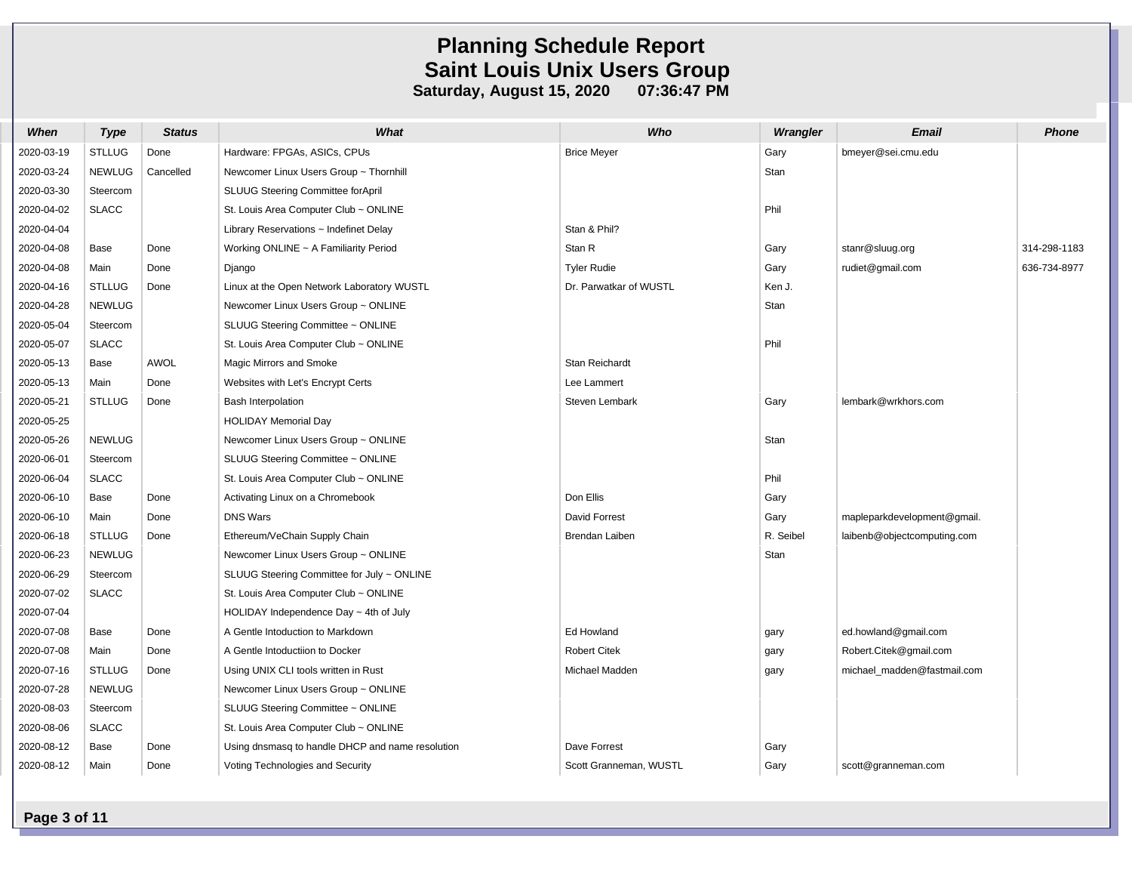| When       | <b>Type</b>   | <b>Status</b> | What                                             | Who                    | Wrangler  | Email                       | <b>Phone</b> |
|------------|---------------|---------------|--------------------------------------------------|------------------------|-----------|-----------------------------|--------------|
| 2020-03-19 | <b>STLLUG</b> | Done          | Hardware: FPGAs, ASICs, CPUs                     | <b>Brice Meyer</b>     | Gary      | bmeyer@sei.cmu.edu          |              |
| 2020-03-24 | <b>NEWLUG</b> | Cancelled     | Newcomer Linux Users Group ~ Thornhill           |                        | Stan      |                             |              |
| 2020-03-30 | Steercom      |               | SLUUG Steering Committee for April               |                        |           |                             |              |
| 2020-04-02 | <b>SLACC</b>  |               | St. Louis Area Computer Club ~ ONLINE            |                        | Phil      |                             |              |
| 2020-04-04 |               |               | Library Reservations $\sim$ Indefinet Delay      | Stan & Phil?           |           |                             |              |
| 2020-04-08 | Base          | Done          | Working ONLINE $\sim$ A Familiarity Period       | Stan R                 | Gary      | stanr@sluug.org             | 314-298-1183 |
| 2020-04-08 | Main          | Done          | Django                                           | <b>Tyler Rudie</b>     | Gary      | rudiet@gmail.com            | 636-734-8977 |
| 2020-04-16 | <b>STLLUG</b> | Done          | Linux at the Open Network Laboratory WUSTL       | Dr. Parwatkar of WUSTL | Ken J.    |                             |              |
| 2020-04-28 | <b>NEWLUG</b> |               | Newcomer Linux Users Group ~ ONLINE              |                        | Stan      |                             |              |
| 2020-05-04 | Steercom      |               | SLUUG Steering Committee ~ ONLINE                |                        |           |                             |              |
| 2020-05-07 | <b>SLACC</b>  |               | St. Louis Area Computer Club ~ ONLINE            |                        | Phil      |                             |              |
| 2020-05-13 | Base          | <b>AWOL</b>   | Magic Mirrors and Smoke                          | Stan Reichardt         |           |                             |              |
| 2020-05-13 | Main          | Done          | Websites with Let's Encrypt Certs                | Lee Lammert            |           |                             |              |
| 2020-05-21 | <b>STLLUG</b> | Done          | <b>Bash Interpolation</b>                        | Steven Lembark         | Gary      | lembark@wrkhors.com         |              |
| 2020-05-25 |               |               | <b>HOLIDAY Memorial Day</b>                      |                        |           |                             |              |
| 2020-05-26 | <b>NEWLUG</b> |               | Newcomer Linux Users Group ~ ONLINE              |                        | Stan      |                             |              |
| 2020-06-01 | Steercom      |               | SLUUG Steering Committee ~ ONLINE                |                        |           |                             |              |
| 2020-06-04 | <b>SLACC</b>  |               | St. Louis Area Computer Club ~ ONLINE            |                        | Phil      |                             |              |
| 2020-06-10 | Base          | Done          | Activating Linux on a Chromebook                 | Don Ellis              | Gary      |                             |              |
| 2020-06-10 | Main          | Done          | <b>DNS Wars</b>                                  | <b>David Forrest</b>   | Gary      | mapleparkdevelopment@gmail. |              |
| 2020-06-18 | <b>STLLUG</b> | Done          | Ethereum/VeChain Supply Chain                    | Brendan Laiben         | R. Seibel | laibenb@objectcomputing.com |              |
| 2020-06-23 | <b>NEWLUG</b> |               | Newcomer Linux Users Group ~ ONLINE              |                        | Stan      |                             |              |
| 2020-06-29 | Steercom      |               | SLUUG Steering Committee for July ~ ONLINE       |                        |           |                             |              |
| 2020-07-02 | <b>SLACC</b>  |               | St. Louis Area Computer Club ~ ONLINE            |                        |           |                             |              |
| 2020-07-04 |               |               | HOLIDAY Independence Day $\sim$ 4th of July      |                        |           |                             |              |
| 2020-07-08 | Base          | Done          | A Gentle Intoduction to Markdown                 | Ed Howland             | gary      | ed.howland@gmail.com        |              |
| 2020-07-08 | Main          | Done          | A Gentle Intoductiion to Docker                  | <b>Robert Citek</b>    | gary      | Robert.Citek@gmail.com      |              |
| 2020-07-16 | <b>STLLUG</b> | Done          | Using UNIX CLI tools written in Rust             | Michael Madden         | gary      | michael_madden@fastmail.com |              |
| 2020-07-28 | <b>NEWLUG</b> |               | Newcomer Linux Users Group ~ ONLINE              |                        |           |                             |              |
| 2020-08-03 | Steercom      |               | SLUUG Steering Committee ~ ONLINE                |                        |           |                             |              |
| 2020-08-06 | <b>SLACC</b>  |               | St. Louis Area Computer Club ~ ONLINE            |                        |           |                             |              |
| 2020-08-12 | Base          | Done          | Using dnsmasq to handle DHCP and name resolution | Dave Forrest           | Gary      |                             |              |
| 2020-08-12 | Main          | Done          | Voting Technologies and Security                 | Scott Granneman, WUSTL | Gary      | scott@granneman.com         |              |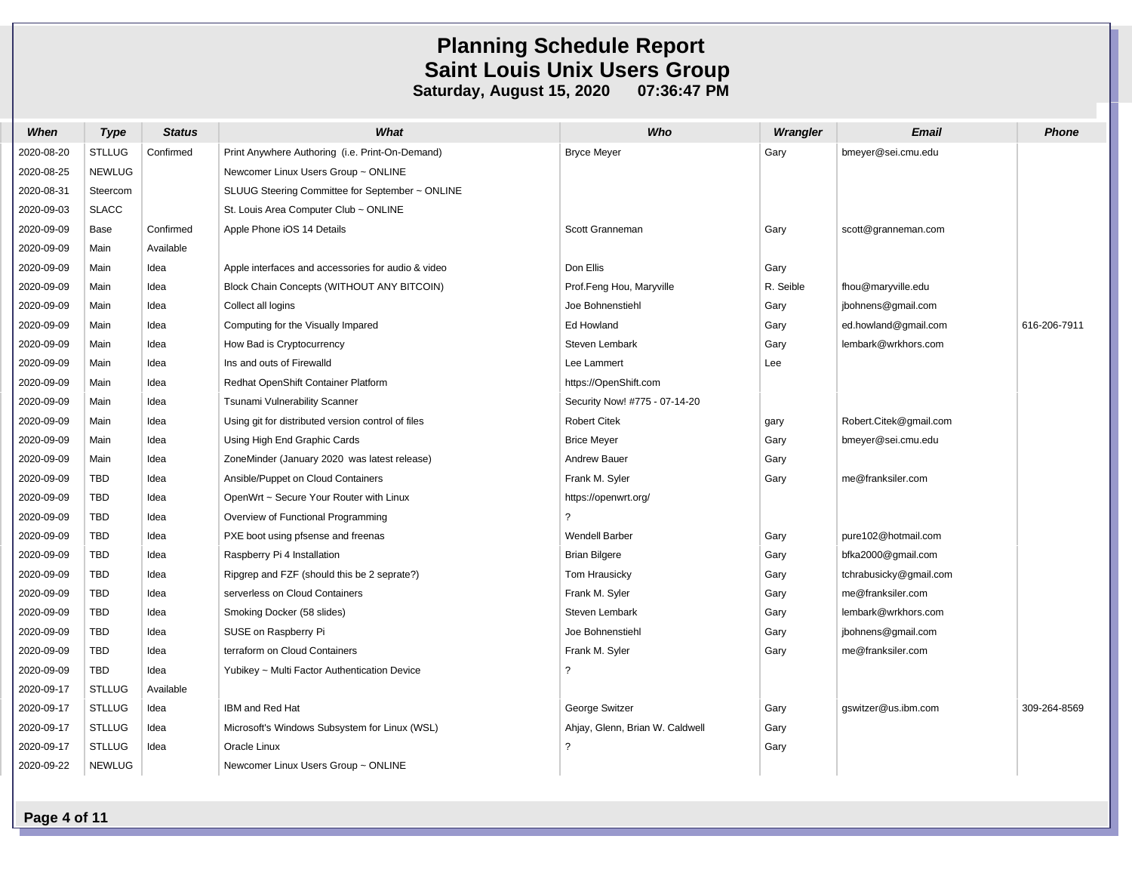| When       | <b>Type</b>   | <b>Status</b> | What                                               | Who                             | Wrangler  | Email                  | <b>Phone</b> |
|------------|---------------|---------------|----------------------------------------------------|---------------------------------|-----------|------------------------|--------------|
| 2020-08-20 | <b>STLLUG</b> | Confirmed     | Print Anywhere Authoring (i.e. Print-On-Demand)    | <b>Bryce Meyer</b>              | Gary      | bmeyer@sei.cmu.edu     |              |
| 2020-08-25 | <b>NEWLUG</b> |               | Newcomer Linux Users Group ~ ONLINE                |                                 |           |                        |              |
| 2020-08-31 | Steercom      |               | SLUUG Steering Committee for September ~ ONLINE    |                                 |           |                        |              |
| 2020-09-03 | <b>SLACC</b>  |               | St. Louis Area Computer Club ~ ONLINE              |                                 |           |                        |              |
| 2020-09-09 | Base          | Confirmed     | Apple Phone iOS 14 Details                         | Scott Granneman                 | Gary      | scott@granneman.com    |              |
| 2020-09-09 | Main          | Available     |                                                    |                                 |           |                        |              |
| 2020-09-09 | Main          | Idea          | Apple interfaces and accessories for audio & video | Don Ellis                       | Gary      |                        |              |
| 2020-09-09 | Main          | Idea          | Block Chain Concepts (WITHOUT ANY BITCOIN)         | Prof.Feng Hou, Maryville        | R. Seible | fhou@maryville.edu     |              |
| 2020-09-09 | Main          | Idea          | Collect all logins                                 | Joe Bohnenstiehl                | Gary      | jbohnens@gmail.com     |              |
| 2020-09-09 | Main          | Idea          | Computing for the Visually Impared                 | Ed Howland                      | Gary      | ed.howland@gmail.com   | 616-206-7911 |
| 2020-09-09 | Main          | Idea          | How Bad is Cryptocurrency                          | Steven Lembark                  | Gary      | lembark@wrkhors.com    |              |
| 2020-09-09 | Main          | Idea          | Ins and outs of Firewalld                          | Lee Lammert                     | Lee       |                        |              |
| 2020-09-09 | Main          | Idea          | Redhat OpenShift Container Platform                | https://OpenShift.com           |           |                        |              |
| 2020-09-09 | Main          | Idea          | Tsunami Vulnerability Scanner                      | Security Now! #775 - 07-14-20   |           |                        |              |
| 2020-09-09 | Main          | Idea          | Using git for distributed version control of files | <b>Robert Citek</b>             | gary      | Robert.Citek@gmail.com |              |
| 2020-09-09 | Main          | Idea          | Using High End Graphic Cards                       | <b>Brice Meyer</b>              | Gary      | bmeyer@sei.cmu.edu     |              |
| 2020-09-09 | Main          | Idea          | ZoneMinder (January 2020 was latest release)       | Andrew Bauer                    | Gary      |                        |              |
| 2020-09-09 | <b>TBD</b>    | Idea          | Ansible/Puppet on Cloud Containers                 | Frank M. Syler                  | Gary      | me@franksiler.com      |              |
| 2020-09-09 | TBD           | Idea          | OpenWrt ~ Secure Your Router with Linux            | https://openwrt.org/            |           |                        |              |
| 2020-09-09 | TBD           | Idea          | Overview of Functional Programming                 | $\ddot{\phantom{0}}$            |           |                        |              |
| 2020-09-09 | TBD           | Idea          | PXE boot using pfsense and freenas                 | <b>Wendell Barber</b>           | Gary      | pure102@hotmail.com    |              |
| 2020-09-09 | <b>TBD</b>    | Idea          | Raspberry Pi 4 Installation                        | <b>Brian Bilgere</b>            | Gary      | bfka2000@gmail.com     |              |
| 2020-09-09 | TBD           | Idea          | Ripgrep and FZF (should this be 2 seprate?)        | Tom Hrausicky                   | Gary      | tchrabusicky@gmail.com |              |
| 2020-09-09 | TBD           | Idea          | serverless on Cloud Containers                     | Frank M. Syler                  | Gary      | me@franksiler.com      |              |
| 2020-09-09 | <b>TBD</b>    | Idea          | Smoking Docker (58 slides)                         | Steven Lembark                  | Gary      | lembark@wrkhors.com    |              |
| 2020-09-09 | TBD           | Idea          | SUSE on Raspberry Pi                               | Joe Bohnenstiehl                | Gary      | jbohnens@gmail.com     |              |
| 2020-09-09 | TBD           | Idea          | terraform on Cloud Containers                      | Frank M. Syler                  | Gary      | me@franksiler.com      |              |
| 2020-09-09 | TBD           | Idea          | Yubikey ~ Multi Factor Authentication Device       | $\overline{?}$                  |           |                        |              |
| 2020-09-17 | <b>STLLUG</b> | Available     |                                                    |                                 |           |                        |              |
| 2020-09-17 | <b>STLLUG</b> | Idea          | IBM and Red Hat                                    | George Switzer                  | Gary      | gswitzer@us.ibm.com    | 309-264-8569 |
| 2020-09-17 | <b>STLLUG</b> | Idea          | Microsoft's Windows Subsystem for Linux (WSL)      | Ahjay, Glenn, Brian W. Caldwell | Gary      |                        |              |
| 2020-09-17 | <b>STLLUG</b> | Idea          | Oracle Linux                                       | $\overline{?}$                  | Gary      |                        |              |
| 2020-09-22 | <b>NEWLUG</b> |               | Newcomer Linux Users Group ~ ONLINE                |                                 |           |                        |              |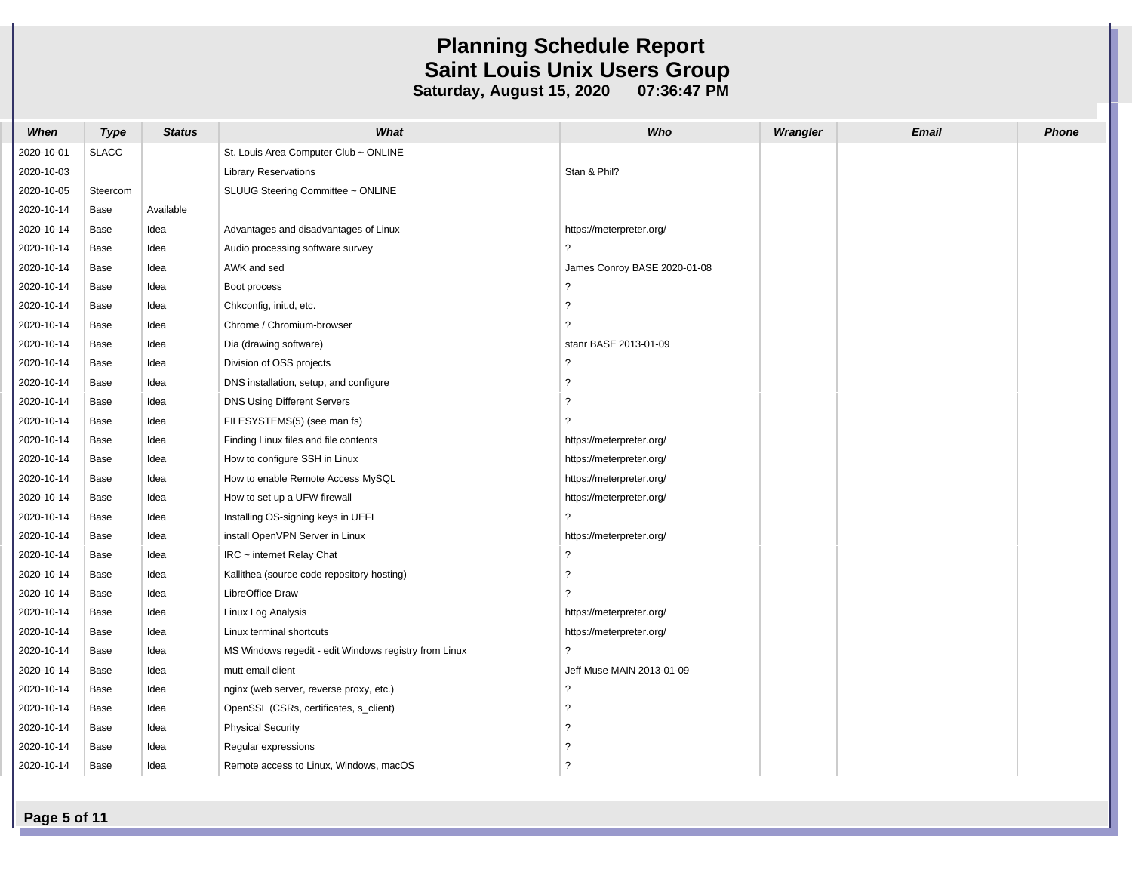| When       | <b>Type</b>  | <b>Status</b> | What                                                  | Who                          | Wrangler | <b>Email</b> | <b>Phone</b> |
|------------|--------------|---------------|-------------------------------------------------------|------------------------------|----------|--------------|--------------|
| 2020-10-01 | <b>SLACC</b> |               | St. Louis Area Computer Club ~ ONLINE                 |                              |          |              |              |
| 2020-10-03 |              |               | <b>Library Reservations</b>                           | Stan & Phil?                 |          |              |              |
| 2020-10-05 | Steercom     |               | SLUUG Steering Committee ~ ONLINE                     |                              |          |              |              |
| 2020-10-14 | Base         | Available     |                                                       |                              |          |              |              |
| 2020-10-14 | Base         | Idea          | Advantages and disadvantages of Linux                 | https://meterpreter.org/     |          |              |              |
| 2020-10-14 | Base         | Idea          | Audio processing software survey                      | ?                            |          |              |              |
| 2020-10-14 | Base         | Idea          | AWK and sed                                           | James Conroy BASE 2020-01-08 |          |              |              |
| 2020-10-14 | Base         | Idea          | Boot process                                          | $\tilde{?}$                  |          |              |              |
| 2020-10-14 | Base         | Idea          | Chkconfig, init.d, etc.                               | ?                            |          |              |              |
| 2020-10-14 | Base         | Idea          | Chrome / Chromium-browser                             | ?                            |          |              |              |
| 2020-10-14 | Base         | Idea          | Dia (drawing software)                                | stanr BASE 2013-01-09        |          |              |              |
| 2020-10-14 | Base         | Idea          | Division of OSS projects                              | $\tilde{?}$                  |          |              |              |
| 2020-10-14 | Base         | Idea          | DNS installation, setup, and configure                | $\overline{\phantom{0}}$     |          |              |              |
| 2020-10-14 | Base         | Idea          | DNS Using Different Servers                           | $\tilde{?}$                  |          |              |              |
| 2020-10-14 | Base         | Idea          | FILESYSTEMS(5) (see man fs)                           | 2                            |          |              |              |
| 2020-10-14 | Base         | Idea          | Finding Linux files and file contents                 | https://meterpreter.org/     |          |              |              |
| 2020-10-14 | Base         | Idea          | How to configure SSH in Linux                         | https://meterpreter.org/     |          |              |              |
| 2020-10-14 | Base         | Idea          | How to enable Remote Access MySQL                     | https://meterpreter.org/     |          |              |              |
| 2020-10-14 | Base         | Idea          | How to set up a UFW firewall                          | https://meterpreter.org/     |          |              |              |
| 2020-10-14 | Base         | Idea          | Installing OS-signing keys in UEFI                    | $\overline{\phantom{0}}$     |          |              |              |
| 2020-10-14 | Base         | Idea          | install OpenVPN Server in Linux                       | https://meterpreter.org/     |          |              |              |
| 2020-10-14 | Base         | Idea          | IRC ~ internet Relay Chat                             | $\tilde{?}$                  |          |              |              |
| 2020-10-14 | Base         | Idea          | Kallithea (source code repository hosting)            | $\tilde{?}$                  |          |              |              |
| 2020-10-14 | Base         | Idea          | LibreOffice Draw                                      | $\overline{\phantom{0}}$     |          |              |              |
| 2020-10-14 | Base         | Idea          | Linux Log Analysis                                    | https://meterpreter.org/     |          |              |              |
| 2020-10-14 | Base         | Idea          | Linux terminal shortcuts                              | https://meterpreter.org/     |          |              |              |
| 2020-10-14 | Base         | Idea          | MS Windows regedit - edit Windows registry from Linux | $\overline{\phantom{a}}$     |          |              |              |
| 2020-10-14 | Base         | Idea          | mutt email client                                     | Jeff Muse MAIN 2013-01-09    |          |              |              |
| 2020-10-14 | Base         | Idea          | nginx (web server, reverse proxy, etc.)               | $\tilde{?}$                  |          |              |              |
| 2020-10-14 | Base         | Idea          | OpenSSL (CSRs, certificates, s_client)                | $\overline{\phantom{0}}$     |          |              |              |
| 2020-10-14 | Base         | Idea          | <b>Physical Security</b>                              | ?                            |          |              |              |
| 2020-10-14 | Base         | Idea          | Regular expressions                                   | ?                            |          |              |              |
| 2020-10-14 | Base         | Idea          | Remote access to Linux, Windows, macOS                | $\overline{?}$               |          |              |              |

**Page 5 of 11**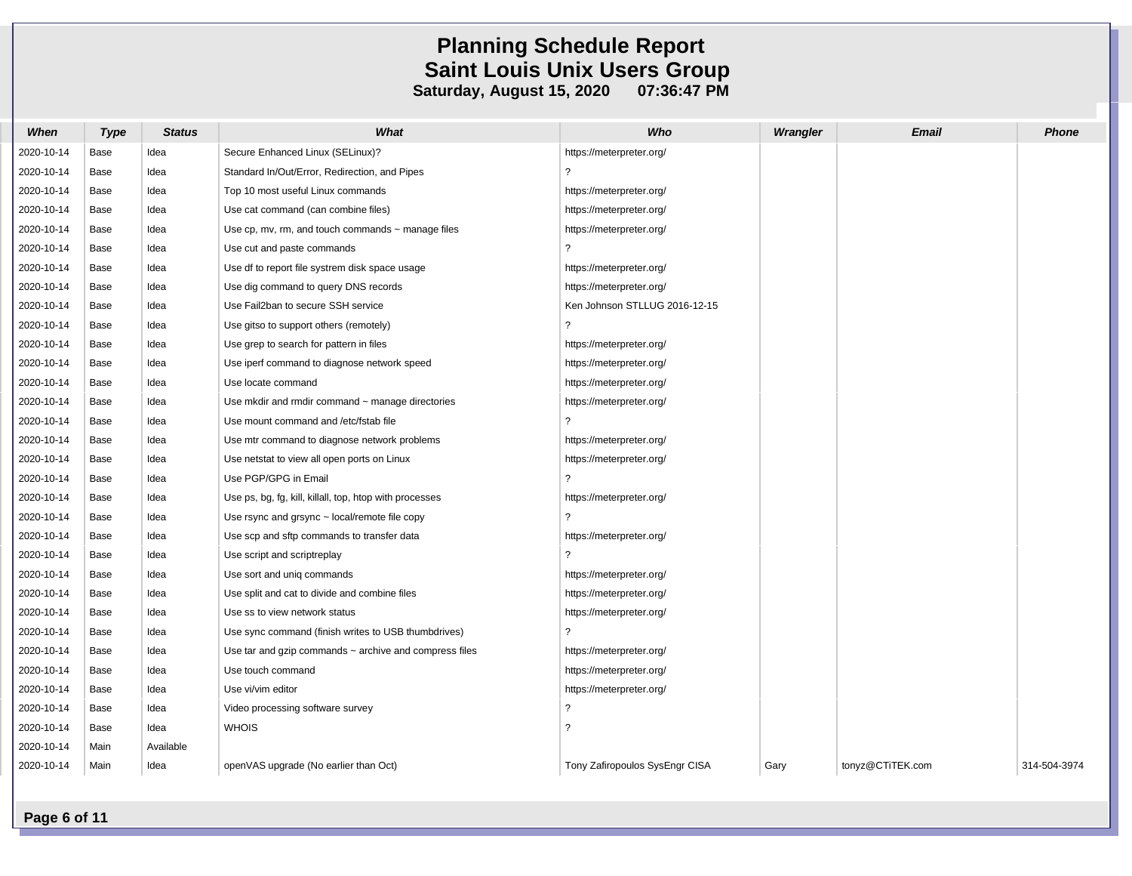| When       | Type | <b>Status</b> | What                                                        | Who                            | Wrangler | <b>Email</b>     | <b>Phone</b> |
|------------|------|---------------|-------------------------------------------------------------|--------------------------------|----------|------------------|--------------|
| 2020-10-14 | Base | Idea          | Secure Enhanced Linux (SELinux)?                            | https://meterpreter.org/       |          |                  |              |
| 2020-10-14 | Base | Idea          | Standard In/Out/Error, Redirection, and Pipes               | ?                              |          |                  |              |
| 2020-10-14 | Base | Idea          | Top 10 most useful Linux commands                           | https://meterpreter.org/       |          |                  |              |
| 2020-10-14 | Base | Idea          | Use cat command (can combine files)                         | https://meterpreter.org/       |          |                  |              |
| 2020-10-14 | Base | Idea          | Use cp, mv, rm, and touch commands $\sim$ manage files      | https://meterpreter.org/       |          |                  |              |
| 2020-10-14 | Base | Idea          | Use cut and paste commands                                  | $\overline{?}$                 |          |                  |              |
| 2020-10-14 | Base | Idea          | Use df to report file systrem disk space usage              | https://meterpreter.org/       |          |                  |              |
| 2020-10-14 | Base | Idea          | Use dig command to query DNS records                        | https://meterpreter.org/       |          |                  |              |
| 2020-10-14 | Base | Idea          | Use Fail2ban to secure SSH service                          | Ken Johnson STLLUG 2016-12-15  |          |                  |              |
| 2020-10-14 | Base | Idea          | Use gitso to support others (remotely)                      | $\tilde{?}$                    |          |                  |              |
| 2020-10-14 | Base | Idea          | Use grep to search for pattern in files                     | https://meterpreter.org/       |          |                  |              |
| 2020-10-14 | Base | Idea          | Use iperf command to diagnose network speed                 | https://meterpreter.org/       |          |                  |              |
| 2020-10-14 | Base | Idea          | Use locate command                                          | https://meterpreter.org/       |          |                  |              |
| 2020-10-14 | Base | Idea          | Use mkdir and rmdir command $\sim$ manage directories       | https://meterpreter.org/       |          |                  |              |
| 2020-10-14 | Base | Idea          | Use mount command and /etc/fstab file                       | ?                              |          |                  |              |
| 2020-10-14 | Base | Idea          | Use mtr command to diagnose network problems                | https://meterpreter.org/       |          |                  |              |
| 2020-10-14 | Base | Idea          | Use netstat to view all open ports on Linux                 | https://meterpreter.org/       |          |                  |              |
| 2020-10-14 | Base | Idea          | Use PGP/GPG in Email                                        | $\overline{?}$                 |          |                  |              |
| 2020-10-14 | Base | Idea          | Use ps, bg, fg, kill, killall, top, htop with processes     | https://meterpreter.org/       |          |                  |              |
| 2020-10-14 | Base | Idea          | Use rsync and grsync $\sim$ local/remote file copy          | ?                              |          |                  |              |
| 2020-10-14 | Base | Idea          | Use scp and sftp commands to transfer data                  | https://meterpreter.org/       |          |                  |              |
| 2020-10-14 | Base | Idea          | Use script and scriptreplay                                 | $\overline{?}$                 |          |                  |              |
| 2020-10-14 | Base | Idea          | Use sort and unig commands                                  | https://meterpreter.org/       |          |                  |              |
| 2020-10-14 | Base | Idea          | Use split and cat to divide and combine files               | https://meterpreter.org/       |          |                  |              |
| 2020-10-14 | Base | Idea          | Use ss to view network status                               | https://meterpreter.org/       |          |                  |              |
| 2020-10-14 | Base | Idea          | Use sync command (finish writes to USB thumbdrives)         | ?                              |          |                  |              |
| 2020-10-14 | Base | Idea          | Use tar and gzip commands $\sim$ archive and compress files | https://meterpreter.org/       |          |                  |              |
| 2020-10-14 | Base | Idea          | Use touch command                                           | https://meterpreter.org/       |          |                  |              |
| 2020-10-14 | Base | Idea          | Use vi/vim editor                                           | https://meterpreter.org/       |          |                  |              |
| 2020-10-14 | Base | Idea          | Video processing software survey                            | $\tilde{?}$                    |          |                  |              |
| 2020-10-14 | Base | Idea          | <b>WHOIS</b>                                                | $\overline{\phantom{0}}$       |          |                  |              |
| 2020-10-14 | Main | Available     |                                                             |                                |          |                  |              |
| 2020-10-14 | Main | Idea          | openVAS upgrade (No earlier than Oct)                       | Tony Zafiropoulos SysEngr CISA | Gary     | tonyz@CTiTEK.com | 314-504-3974 |

**Page 6 of 11**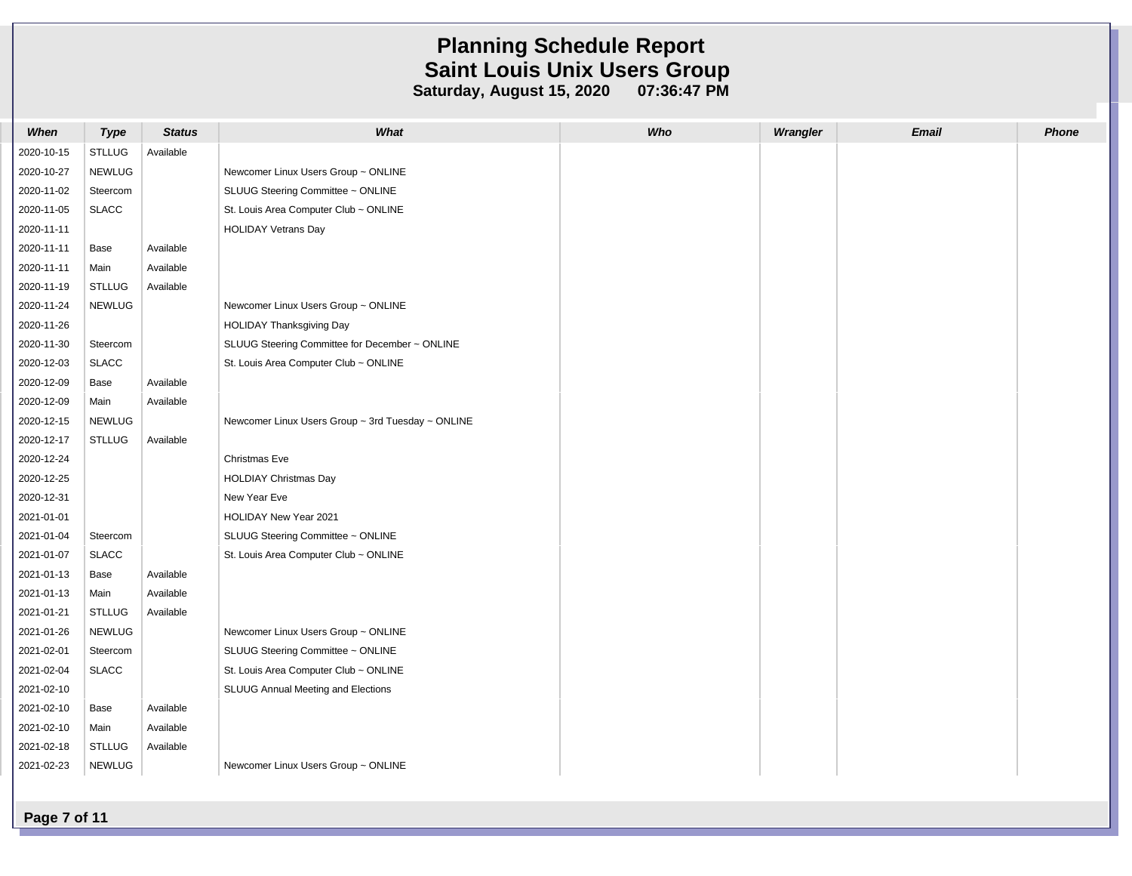| When       | <b>Type</b>   | <b>Status</b> | What                                              | Who | Wrangler | <b>Email</b> | Phone |
|------------|---------------|---------------|---------------------------------------------------|-----|----------|--------------|-------|
| 2020-10-15 | <b>STLLUG</b> | Available     |                                                   |     |          |              |       |
| 2020-10-27 | <b>NEWLUG</b> |               | Newcomer Linux Users Group ~ ONLINE               |     |          |              |       |
| 2020-11-02 | Steercom      |               | SLUUG Steering Committee ~ ONLINE                 |     |          |              |       |
| 2020-11-05 | <b>SLACC</b>  |               | St. Louis Area Computer Club ~ ONLINE             |     |          |              |       |
| 2020-11-11 |               |               | <b>HOLIDAY Vetrans Day</b>                        |     |          |              |       |
| 2020-11-11 | Base          | Available     |                                                   |     |          |              |       |
| 2020-11-11 | Main          | Available     |                                                   |     |          |              |       |
| 2020-11-19 | <b>STLLUG</b> | Available     |                                                   |     |          |              |       |
| 2020-11-24 | <b>NEWLUG</b> |               | Newcomer Linux Users Group ~ ONLINE               |     |          |              |       |
| 2020-11-26 |               |               | <b>HOLIDAY Thanksgiving Day</b>                   |     |          |              |       |
| 2020-11-30 | Steercom      |               | SLUUG Steering Committee for December ~ ONLINE    |     |          |              |       |
| 2020-12-03 | <b>SLACC</b>  |               | St. Louis Area Computer Club ~ ONLINE             |     |          |              |       |
| 2020-12-09 | Base          | Available     |                                                   |     |          |              |       |
| 2020-12-09 | Main          | Available     |                                                   |     |          |              |       |
| 2020-12-15 | <b>NEWLUG</b> |               | Newcomer Linux Users Group ~ 3rd Tuesday ~ ONLINE |     |          |              |       |
| 2020-12-17 | <b>STLLUG</b> | Available     |                                                   |     |          |              |       |
| 2020-12-24 |               |               | Christmas Eve                                     |     |          |              |       |
| 2020-12-25 |               |               | <b>HOLDIAY Christmas Day</b>                      |     |          |              |       |
| 2020-12-31 |               |               | New Year Eve                                      |     |          |              |       |
| 2021-01-01 |               |               | <b>HOLIDAY New Year 2021</b>                      |     |          |              |       |
| 2021-01-04 | Steercom      |               | SLUUG Steering Committee ~ ONLINE                 |     |          |              |       |
| 2021-01-07 | <b>SLACC</b>  |               | St. Louis Area Computer Club ~ ONLINE             |     |          |              |       |
| 2021-01-13 | Base          | Available     |                                                   |     |          |              |       |
| 2021-01-13 | Main          | Available     |                                                   |     |          |              |       |
| 2021-01-21 | <b>STLLUG</b> | Available     |                                                   |     |          |              |       |
| 2021-01-26 | <b>NEWLUG</b> |               | Newcomer Linux Users Group ~ ONLINE               |     |          |              |       |
| 2021-02-01 | Steercom      |               | SLUUG Steering Committee ~ ONLINE                 |     |          |              |       |
| 2021-02-04 | <b>SLACC</b>  |               | St. Louis Area Computer Club ~ ONLINE             |     |          |              |       |
| 2021-02-10 |               |               | SLUUG Annual Meeting and Elections                |     |          |              |       |
| 2021-02-10 | Base          | Available     |                                                   |     |          |              |       |
| 2021-02-10 | Main          | Available     |                                                   |     |          |              |       |
| 2021-02-18 | <b>STLLUG</b> | Available     |                                                   |     |          |              |       |
| 2021-02-23 | <b>NEWLUG</b> |               | Newcomer Linux Users Group ~ ONLINE               |     |          |              |       |
|            |               |               |                                                   |     |          |              |       |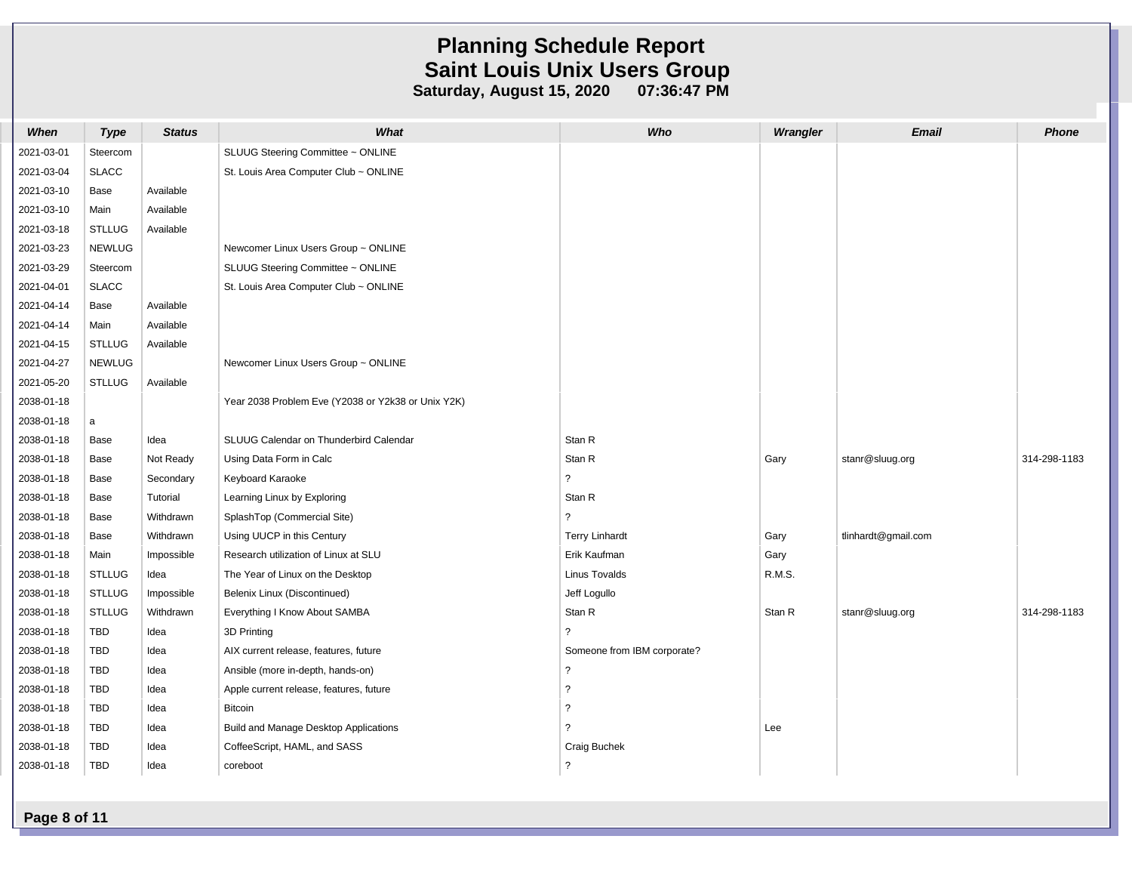| When       | <b>Type</b>   | <b>Status</b> | What                                               | Who                         | Wrangler | <b>Email</b>        | Phone        |
|------------|---------------|---------------|----------------------------------------------------|-----------------------------|----------|---------------------|--------------|
| 2021-03-01 | Steercom      |               | SLUUG Steering Committee ~ ONLINE                  |                             |          |                     |              |
| 2021-03-04 | <b>SLACC</b>  |               | St. Louis Area Computer Club ~ ONLINE              |                             |          |                     |              |
| 2021-03-10 | Base          | Available     |                                                    |                             |          |                     |              |
| 2021-03-10 | Main          | Available     |                                                    |                             |          |                     |              |
| 2021-03-18 | <b>STLLUG</b> | Available     |                                                    |                             |          |                     |              |
| 2021-03-23 | <b>NEWLUG</b> |               | Newcomer Linux Users Group ~ ONLINE                |                             |          |                     |              |
| 2021-03-29 | Steercom      |               | SLUUG Steering Committee ~ ONLINE                  |                             |          |                     |              |
| 2021-04-01 | <b>SLACC</b>  |               | St. Louis Area Computer Club ~ ONLINE              |                             |          |                     |              |
| 2021-04-14 | Base          | Available     |                                                    |                             |          |                     |              |
| 2021-04-14 | Main          | Available     |                                                    |                             |          |                     |              |
| 2021-04-15 | <b>STLLUG</b> | Available     |                                                    |                             |          |                     |              |
| 2021-04-27 | <b>NEWLUG</b> |               | Newcomer Linux Users Group ~ ONLINE                |                             |          |                     |              |
| 2021-05-20 | <b>STLLUG</b> | Available     |                                                    |                             |          |                     |              |
| 2038-01-18 |               |               | Year 2038 Problem Eve (Y2038 or Y2k38 or Unix Y2K) |                             |          |                     |              |
| 2038-01-18 | a             |               |                                                    |                             |          |                     |              |
| 2038-01-18 | Base          | Idea          | SLUUG Calendar on Thunderbird Calendar             | Stan R                      |          |                     |              |
| 2038-01-18 | Base          | Not Ready     | Using Data Form in Calc                            | Stan R                      | Gary     | stanr@sluug.org     | 314-298-1183 |
| 2038-01-18 | Base          | Secondary     | Keyboard Karaoke                                   | $\overline{\phantom{a}}$    |          |                     |              |
| 2038-01-18 | Base          | Tutorial      | Learning Linux by Exploring                        | Stan R                      |          |                     |              |
| 2038-01-18 | Base          | Withdrawn     | SplashTop (Commercial Site)                        | $\overline{?}$              |          |                     |              |
| 2038-01-18 | Base          | Withdrawn     | Using UUCP in this Century                         | <b>Terry Linhardt</b>       | Gary     | tlinhardt@gmail.com |              |
| 2038-01-18 | Main          | Impossible    | Research utilization of Linux at SLU               | Erik Kaufman                | Gary     |                     |              |
| 2038-01-18 | <b>STLLUG</b> | Idea          | The Year of Linux on the Desktop                   | <b>Linus Tovalds</b>        | R.M.S.   |                     |              |
| 2038-01-18 | <b>STLLUG</b> | Impossible    | Belenix Linux (Discontinued)                       | Jeff Logullo                |          |                     |              |
| 2038-01-18 | <b>STLLUG</b> | Withdrawn     | Everything I Know About SAMBA                      | Stan R                      | Stan R   | stanr@sluug.org     | 314-298-1183 |
| 2038-01-18 | TBD           | Idea          | 3D Printing                                        | $\overline{?}$              |          |                     |              |
| 2038-01-18 | <b>TBD</b>    | Idea          | AIX current release, features, future              | Someone from IBM corporate? |          |                     |              |
| 2038-01-18 | TBD           | Idea          | Ansible (more in-depth, hands-on)                  | $\ddot{\phantom{0}}$        |          |                     |              |
| 2038-01-18 | TBD           | Idea          | Apple current release, features, future            | $\overline{?}$              |          |                     |              |
| 2038-01-18 | TBD           | Idea          | <b>Bitcoin</b>                                     | $\overline{\phantom{a}}$    |          |                     |              |
| 2038-01-18 | TBD           | Idea          | Build and Manage Desktop Applications              | $\overline{?}$              | Lee      |                     |              |
| 2038-01-18 | TBD           | Idea          | CoffeeScript, HAML, and SASS                       | Craig Buchek                |          |                     |              |
| 2038-01-18 | TBD           | Idea          | coreboot                                           | $\overline{?}$              |          |                     |              |
|            |               |               |                                                    |                             |          |                     |              |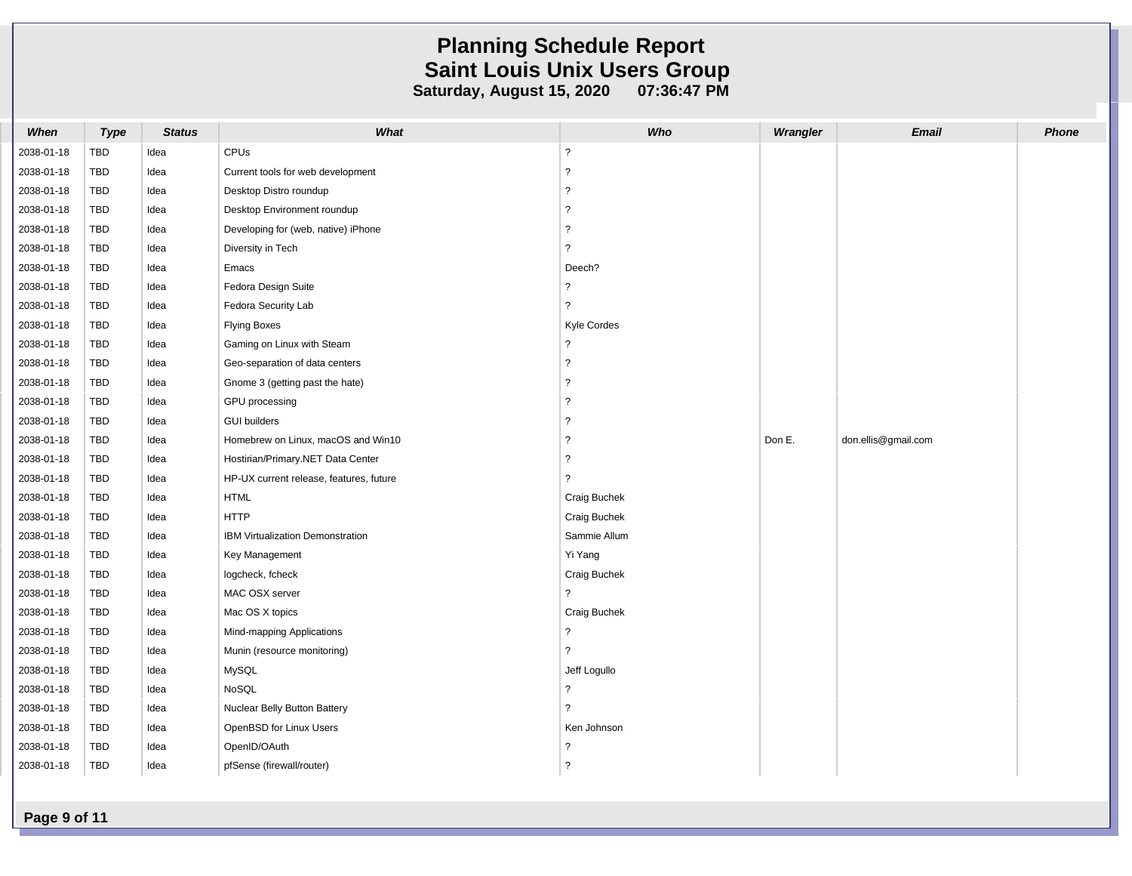| When       | <b>Type</b> | <b>Status</b> | What                                    | Who                      | Wrangler | <b>Email</b>        | <b>Phone</b> |
|------------|-------------|---------------|-----------------------------------------|--------------------------|----------|---------------------|--------------|
| 2038-01-18 | TBD         | Idea          | CPUs                                    | $\overline{?}$           |          |                     |              |
| 2038-01-18 | TBD         | Idea          | Current tools for web development       | ?                        |          |                     |              |
| 2038-01-18 | TBD         | Idea          | Desktop Distro roundup                  | $\overline{?}$           |          |                     |              |
| 2038-01-18 | TBD         | Idea          | Desktop Environment roundup             | $\overline{\phantom{a}}$ |          |                     |              |
| 2038-01-18 | TBD         | Idea          | Developing for (web, native) iPhone     | ?                        |          |                     |              |
| 2038-01-18 | TBD         | Idea          | Diversity in Tech                       | ?                        |          |                     |              |
| 2038-01-18 | TBD         | Idea          | Emacs                                   | Deech?                   |          |                     |              |
| 2038-01-18 | TBD         | Idea          | Fedora Design Suite                     | ?                        |          |                     |              |
| 2038-01-18 | TBD         | Idea          | Fedora Security Lab                     | ?                        |          |                     |              |
| 2038-01-18 | <b>TBD</b>  | Idea          | <b>Flying Boxes</b>                     | Kyle Cordes              |          |                     |              |
| 2038-01-18 | TBD         | Idea          | Gaming on Linux with Steam              | ?                        |          |                     |              |
| 2038-01-18 | TBD         | Idea          | Geo-separation of data centers          | $\overline{?}$           |          |                     |              |
| 2038-01-18 | TBD         | Idea          | Gnome 3 (getting past the hate)         | ?                        |          |                     |              |
| 2038-01-18 | TBD         | Idea          | GPU processing                          | ?                        |          |                     |              |
| 2038-01-18 | TBD         | Idea          | <b>GUI builders</b>                     | $\overline{?}$           |          |                     |              |
| 2038-01-18 | TBD         | Idea          | Homebrew on Linux, macOS and Win10      | $\overline{?}$           | Don E.   | don.ellis@gmail.com |              |
| 2038-01-18 | TBD         | Idea          | Hostirian/Primary.NET Data Center       | ?                        |          |                     |              |
| 2038-01-18 | TBD         | Idea          | HP-UX current release, features, future | ?                        |          |                     |              |
| 2038-01-18 | <b>TBD</b>  | Idea          | <b>HTML</b>                             | Craig Buchek             |          |                     |              |
| 2038-01-18 | TBD         | Idea          | <b>HTTP</b>                             | Craig Buchek             |          |                     |              |
| 2038-01-18 | TBD         | Idea          | IBM Virtualization Demonstration        | Sammie Allum             |          |                     |              |
| 2038-01-18 | TBD         | Idea          | Key Management                          | Yi Yang                  |          |                     |              |
| 2038-01-18 | TBD         | Idea          | logcheck, fcheck                        | Craig Buchek             |          |                     |              |
| 2038-01-18 | TBD         | Idea          | MAC OSX server                          | $\overline{?}$           |          |                     |              |
| 2038-01-18 | TBD         | Idea          | Mac OS X topics                         | Craig Buchek             |          |                     |              |
| 2038-01-18 | TBD         | Idea          | Mind-mapping Applications               | $\overline{?}$           |          |                     |              |
| 2038-01-18 | TBD         | Idea          | Munin (resource monitoring)             | ?                        |          |                     |              |
| 2038-01-18 | TBD         | Idea          | MySQL                                   | Jeff Logullo             |          |                     |              |
| 2038-01-18 | TBD         | Idea          | NoSQL                                   | ?                        |          |                     |              |
| 2038-01-18 | <b>TBD</b>  | Idea          | Nuclear Belly Button Battery            | $\mathcal{P}$            |          |                     |              |
| 2038-01-18 | <b>TBD</b>  | Idea          | OpenBSD for Linux Users                 | Ken Johnson              |          |                     |              |
| 2038-01-18 | TBD         | Idea          | OpenID/OAuth                            | ?                        |          |                     |              |
| 2038-01-18 | <b>TBD</b>  | Idea          | pfSense (firewall/router)               | ?                        |          |                     |              |

**Page 9 of 11**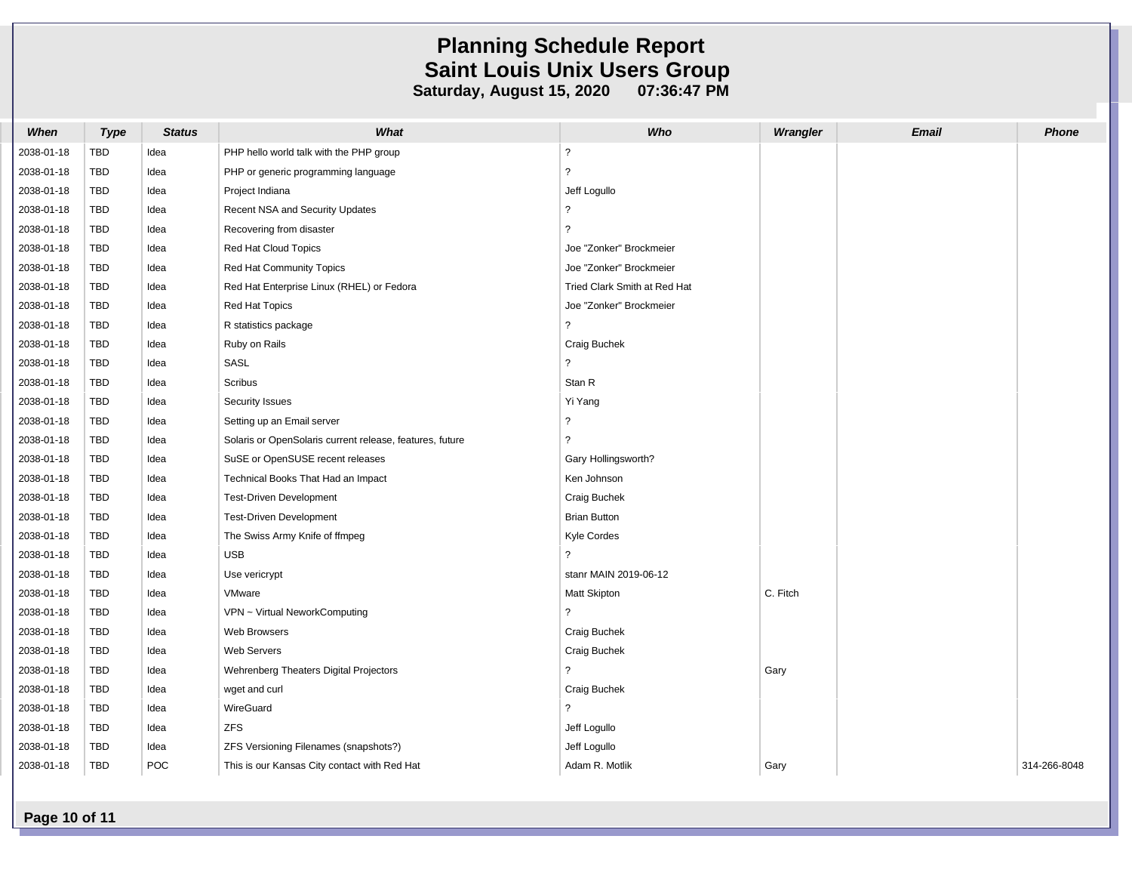| When       | <b>Type</b> | <b>Status</b> | What                                                     | Who                          | Wrangler | <b>Email</b> | <b>Phone</b> |
|------------|-------------|---------------|----------------------------------------------------------|------------------------------|----------|--------------|--------------|
| 2038-01-18 | TBD         | Idea          | PHP hello world talk with the PHP group                  | $\overline{?}$               |          |              |              |
| 2038-01-18 | TBD         | Idea          | PHP or generic programming language                      | $\ddot{\phantom{0}}$         |          |              |              |
| 2038-01-18 | <b>TBD</b>  | Idea          | Project Indiana                                          | Jeff Logullo                 |          |              |              |
| 2038-01-18 | TBD         | Idea          | Recent NSA and Security Updates                          | $\overline{\phantom{0}}$     |          |              |              |
| 2038-01-18 | TBD         | Idea          | Recovering from disaster                                 | ?                            |          |              |              |
| 2038-01-18 | TBD         | Idea          | Red Hat Cloud Topics                                     | Joe "Zonker" Brockmeier      |          |              |              |
| 2038-01-18 | <b>TBD</b>  | Idea          | Red Hat Community Topics                                 | Joe "Zonker" Brockmeier      |          |              |              |
| 2038-01-18 | <b>TBD</b>  | Idea          | Red Hat Enterprise Linux (RHEL) or Fedora                | Tried Clark Smith at Red Hat |          |              |              |
| 2038-01-18 | TBD         | Idea          | Red Hat Topics                                           | Joe "Zonker" Brockmeier      |          |              |              |
| 2038-01-18 | <b>TBD</b>  | Idea          | R statistics package                                     | $\overline{?}$               |          |              |              |
| 2038-01-18 | <b>TBD</b>  | Idea          | Ruby on Rails                                            | Craig Buchek                 |          |              |              |
| 2038-01-18 | TBD         | Idea          | SASL                                                     | $\overline{?}$               |          |              |              |
| 2038-01-18 | TBD         | Idea          | Scribus                                                  | Stan R                       |          |              |              |
| 2038-01-18 | <b>TBD</b>  | Idea          | Security Issues                                          | Yi Yang                      |          |              |              |
| 2038-01-18 | TBD         | Idea          | Setting up an Email server                               | ?                            |          |              |              |
| 2038-01-18 | <b>TBD</b>  | Idea          | Solaris or OpenSolaris current release, features, future | ?                            |          |              |              |
| 2038-01-18 | <b>TBD</b>  | Idea          | SuSE or OpenSUSE recent releases                         | Gary Hollingsworth?          |          |              |              |
| 2038-01-18 | <b>TBD</b>  | Idea          | Technical Books That Had an Impact                       | Ken Johnson                  |          |              |              |
| 2038-01-18 | <b>TBD</b>  | Idea          | Test-Driven Development                                  | Craig Buchek                 |          |              |              |
| 2038-01-18 | TBD         | Idea          | Test-Driven Development                                  | <b>Brian Button</b>          |          |              |              |
| 2038-01-18 | <b>TBD</b>  | Idea          | The Swiss Army Knife of ffmpeg                           | Kyle Cordes                  |          |              |              |
| 2038-01-18 | <b>TBD</b>  | Idea          | <b>USB</b>                                               | $\overline{?}$               |          |              |              |
| 2038-01-18 | TBD         | Idea          | Use vericrypt                                            | stanr MAIN 2019-06-12        |          |              |              |
| 2038-01-18 | <b>TBD</b>  | Idea          | VMware                                                   | Matt Skipton                 | C. Fitch |              |              |
| 2038-01-18 | <b>TBD</b>  | Idea          | VPN ~ Virtual NeworkComputing                            | $\tilde{?}$                  |          |              |              |
| 2038-01-18 | TBD         | Idea          | Web Browsers                                             | Craig Buchek                 |          |              |              |
| 2038-01-18 | <b>TBD</b>  | Idea          | <b>Web Servers</b>                                       | Craig Buchek                 |          |              |              |
| 2038-01-18 | <b>TBD</b>  | Idea          | Wehrenberg Theaters Digital Projectors                   | $\overline{?}$               | Gary     |              |              |
| 2038-01-18 | <b>TBD</b>  | Idea          | wget and curl                                            | Craig Buchek                 |          |              |              |
| 2038-01-18 | <b>TBD</b>  | Idea          | WireGuard                                                | $\overline{?}$               |          |              |              |
| 2038-01-18 | TBD         | Idea          | <b>ZFS</b>                                               | Jeff Logullo                 |          |              |              |
| 2038-01-18 | <b>TBD</b>  | Idea          | ZFS Versioning Filenames (snapshots?)                    | Jeff Logullo                 |          |              |              |
| 2038-01-18 | <b>TBD</b>  | POC           | This is our Kansas City contact with Red Hat             | Adam R. Motlik               | Gary     |              | 314-266-8048 |

**Page 10 of 11**